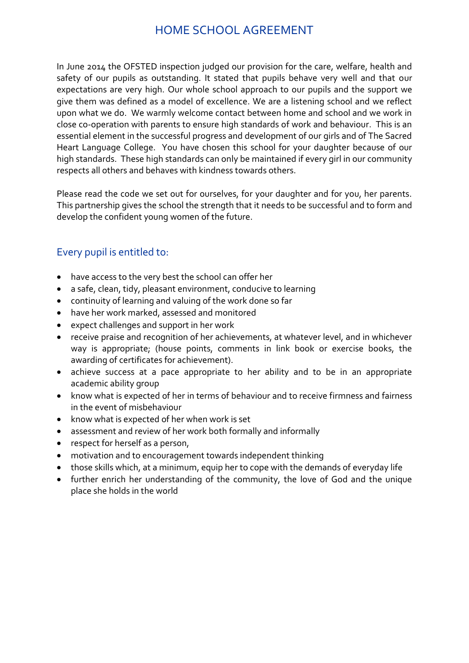## HOME SCHOOL AGREEMENT

In June 2014 the OFSTED inspection judged our provision for the care, welfare, health and safety of our pupils as outstanding. It stated that pupils behave very well and that our expectations are very high. Our whole school approach to our pupils and the support we give them was defined as a model of excellence. We are a listening school and we reflect upon what we do. We warmly welcome contact between home and school and we work in close co-operation with parents to ensure high standards of work and behaviour. This is an essential element in the successful progress and development of our girls and of The Sacred Heart Language College. You have chosen this school for your daughter because of our high standards. These high standards can only be maintained if every girl in our community respects all others and behaves with kindness towards others.

Please read the code we set out for ourselves, for your daughter and for you, her parents. This partnership gives the school the strength that it needs to be successful and to form and develop the confident young women of the future.

#### Every pupil is entitled to:

- have access to the very best the school can offer her
- a safe, clean, tidy, pleasant environment, conducive to learning
- continuity of learning and valuing of the work done so far
- have her work marked, assessed and monitored
- expect challenges and support in her work
- receive praise and recognition of her achievements, at whatever level, and in whichever way is appropriate; (house points, comments in link book or exercise books, the awarding of certificates for achievement).
- achieve success at a pace appropriate to her ability and to be in an appropriate academic ability group
- know what is expected of her in terms of behaviour and to receive firmness and fairness in the event of misbehaviour
- know what is expected of her when work is set
- assessment and review of her work both formally and informally
- respect for herself as a person,
- motivation and to encouragement towards independent thinking
- those skills which, at a minimum, equip her to cope with the demands of everyday life
- further enrich her understanding of the community, the love of God and the unique place she holds in the world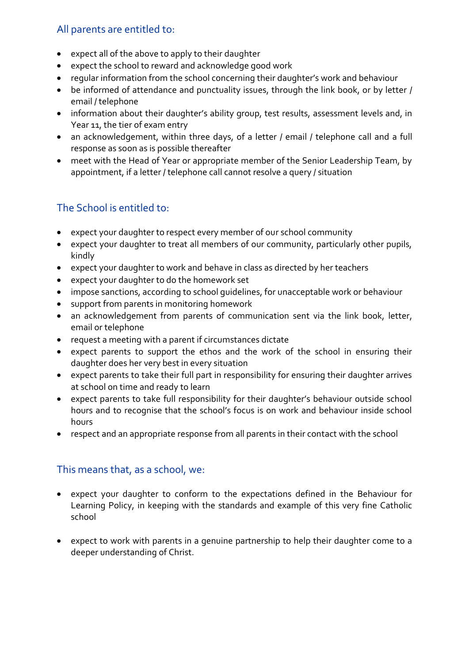#### All parents are entitled to:

- expect all of the above to apply to their daughter
- expect the school to reward and acknowledge good work
- regular information from the school concerning their daughter's work and behaviour
- be informed of attendance and punctuality issues, through the link book, or by letter / email / telephone
- information about their daughter's ability group, test results, assessment levels and, in Year 11, the tier of exam entry
- an acknowledgement, within three days, of a letter / email / telephone call and a full response as soon as is possible thereafter
- meet with the Head of Year or appropriate member of the Senior Leadership Team, by appointment, if a letter / telephone call cannot resolve a query / situation

### The School is entitled to:

- expect your daughter to respect every member of our school community
- expect your daughter to treat all members of our community, particularly other pupils, kindly
- expect your daughter to work and behave in class as directed by her teachers
- expect your daughter to do the homework set
- impose sanctions, according to school guidelines, for unacceptable work or behaviour
- support from parents in monitoring homework
- an acknowledgement from parents of communication sent via the link book, letter, email or telephone
- request a meeting with a parent if circumstances dictate
- expect parents to support the ethos and the work of the school in ensuring their daughter does her very best in every situation
- expect parents to take their full part in responsibility for ensuring their daughter arrives at school on time and ready to learn
- expect parents to take full responsibility for their daughter's behaviour outside school hours and to recognise that the school's focus is on work and behaviour inside school hours
- respect and an appropriate response from all parents in their contact with the school

#### This means that, as a school, we:

- expect your daughter to conform to the expectations defined in the Behaviour for Learning Policy, in keeping with the standards and example of this very fine Catholic school
- expect to work with parents in a genuine partnership to help their daughter come to a deeper understanding of Christ.